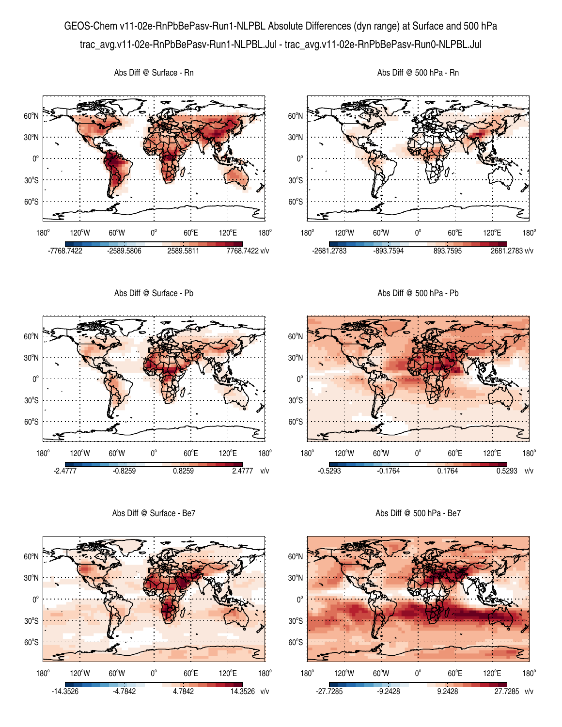## GEOS-Chem v11-02e-RnPbBePasv-Run1-NLPBL Absolute Differences (dyn range) at Surface and 500 hPa trac\_avg.v11-02e-RnPbBePasv-Run1-NLPBL.Jul - trac\_avg.v11-02e-RnPbBePasv-Run0-NLPBL.Jul





Abs Diff @ Surface - Rn



Abs Diff @ 500 hPa - Rn